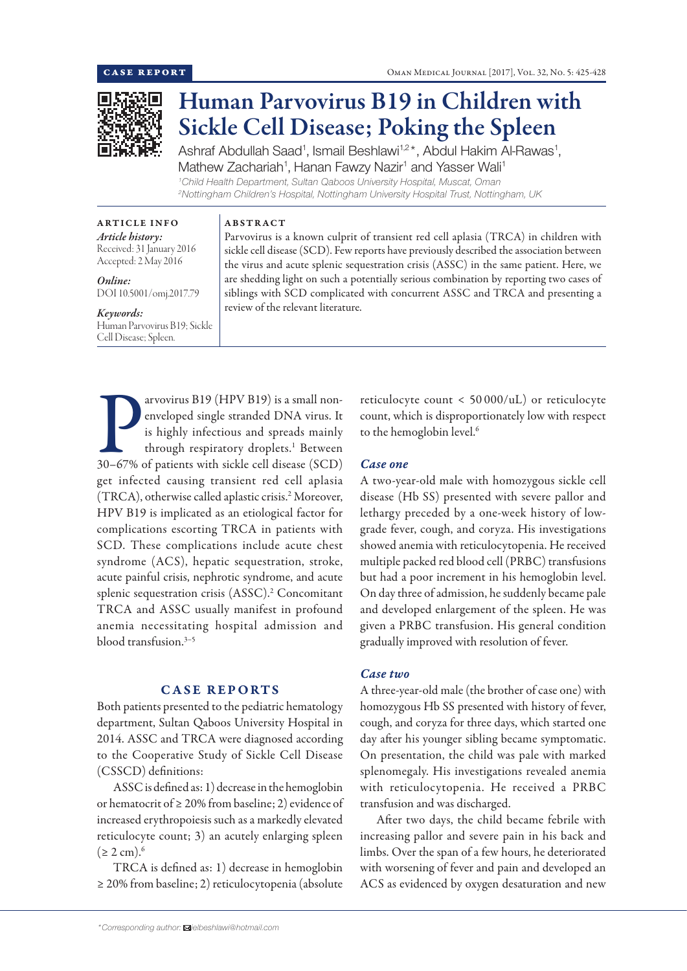

# Human Parvovirus B19 in Children with Sickle Cell Disease; Poking the Spleen

Ashraf Abdullah Saad<sup>1</sup>, Ismail Beshlawi<sup>1,2\*</sup>, Abdul Hakim Al-Rawas<sup>1</sup>, Mathew Zachariah<sup>1</sup>, Hanan Fawzy Nazir<sup>1</sup> and Yasser Wali<sup>1</sup> *1 Child Health Department, Sultan Qaboos University Hospital, Muscat, Oman*

*2 Nottingham Children's Hospital, Nottingham University Hospital Trust, Nottingham, UK*

ARTICLE INFO *Article history:* Received: 31 January 2016 Accepted: 2 May 2016

*Online:* DOI 10.5001/omj.2017.79

#### *Keywords:*  Human Parvovirus B19; Sickle Cell Disease; Spleen.

ABSTRACT

Parvovirus is a known culprit of transient red cell aplasia (TRCA) in children with sickle cell disease (SCD). Few reports have previously described the association between the virus and acute splenic sequestration crisis (ASSC) in the same patient. Here, we are shedding light on such a potentially serious combination by reporting two cases of siblings with SCD complicated with concurrent ASSC and TRCA and presenting a review of the relevant literature.

Parvovirus B19 (HPV B19) is a small non-<br>
enveloped single stranded DNA virus. It<br>
is highly infectious and spreads mainly<br>
through respiratory droplets.<sup>1</sup> Between<br>
30–67% of patients with sickle cell disease (SCD) arvovirus B19 (HPV B19) is a small nonenveloped single stranded DNA virus. It is highly infectious and spreads mainly through respiratory droplets.<sup>1</sup> Between get infected causing transient red cell aplasia (TRCA), otherwise called aplastic crisis.2 Moreover, HPV B19 is implicated as an etiological factor for complications escorting TRCA in patients with SCD. These complications include acute chest syndrome (ACS), hepatic sequestration, stroke, acute painful crisis, nephrotic syndrome, and acute splenic sequestration crisis (ASSC).<sup>2</sup> Concomitant TRCA and ASSC usually manifest in profound anemia necessitating hospital admission and blood transfusion  $3-5$ 

# CASE REPORTS

Both patients presented to the pediatric hematology department, Sultan Qaboos University Hospital in 2014. ASSC and TRCA were diagnosed according to the Cooperative Study of Sickle Cell Disease (CSSCD) definitions:

ASSC is defined as: 1) decrease in the hemoglobin or hematocrit of  $\geq 20\%$  from baseline; 2) evidence of increased erythropoiesis such as a markedly elevated reticulocyte count; 3) an acutely enlarging spleen  $(≥ 2 cm).<sup>6</sup>$ 

TRCA is defined as: 1) decrease in hemoglobin ≥ 20% from baseline; 2) reticulocytopenia (absolute

reticulocyte count < 50 000/uL) or reticulocyte count, which is disproportionately low with respect to the hemoglobin level.<sup>6</sup>

## *Case one*

A two-year-old male with homozygous sickle cell disease (Hb SS) presented with severe pallor and lethargy preceded by a one-week history of lowgrade fever, cough, and coryza. His investigations showed anemia with reticulocytopenia. He received multiple packed red blood cell (PRBC) transfusions but had a poor increment in his hemoglobin level. On day three of admission, he suddenly became pale and developed enlargement of the spleen. He was given a PRBC transfusion. His general condition gradually improved with resolution of fever.

# *Case two*

A three-year-old male (the brother of case one) with homozygous Hb SS presented with history of fever, cough, and coryza for three days, which started one day after his younger sibling became symptomatic. On presentation, the child was pale with marked splenomegaly. His investigations revealed anemia with reticulocytopenia. He received a PRBC transfusion and was discharged.

After two days, the child became febrile with increasing pallor and severe pain in his back and limbs. Over the span of a few hours, he deteriorated with worsening of fever and pain and developed an ACS as evidenced by oxygen desaturation and new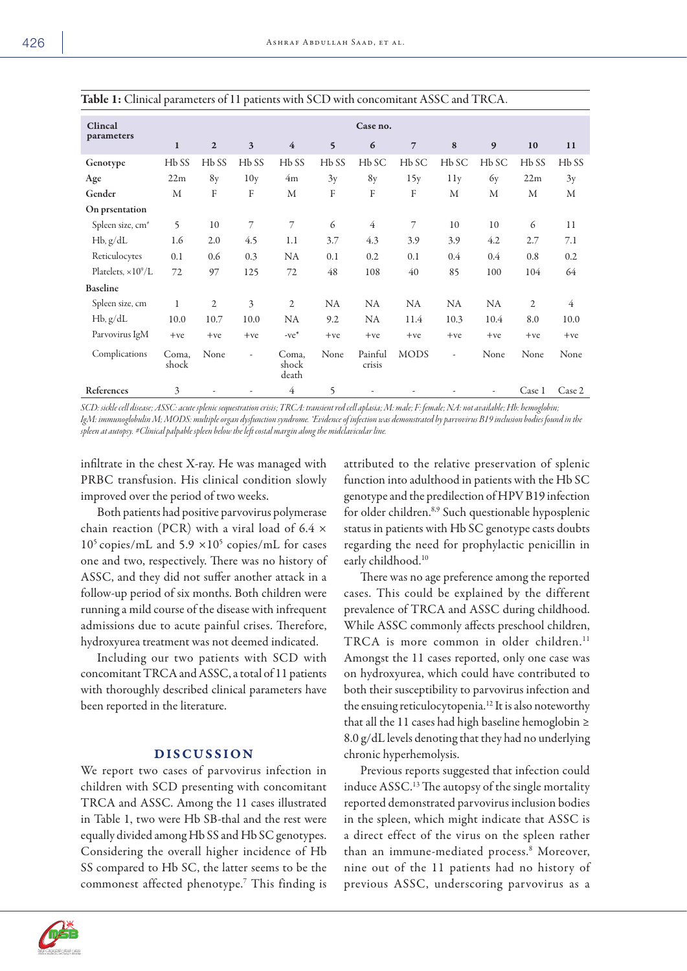|                              | $\mathbf{r}$      |                   | л.                        |                         |                   |                   |                   |                   |                          |                   |                |
|------------------------------|-------------------|-------------------|---------------------------|-------------------------|-------------------|-------------------|-------------------|-------------------|--------------------------|-------------------|----------------|
| Clincal<br>parameters        | Case no.          |                   |                           |                         |                   |                   |                   |                   |                          |                   |                |
|                              | $\mathbf{1}$      | $\mathbf{2}$      | $\overline{\mathbf{3}}$   | $\overline{4}$          | $\mathbf{5}$      | 6                 | $\overline{7}$    | 8                 | 9                        | 10                | 11             |
| Genotype                     | H <sub>b</sub> SS | H <sub>b</sub> SS | H <sub>b</sub> SS         | H <sub>b</sub> SS       | H <sub>b</sub> SS | H <sub>b</sub> SC | H <sub>b</sub> SC | H <sub>b</sub> SC | H <sub>b</sub> SC        | H <sub>b</sub> SS | $Hb$ SS        |
| Age                          | 22m               | 8y                | 10y                       | 4m                      | 3y                | 8y                | 15y               | 11y               | 6y                       | 22m               | 3y             |
| Gender                       | M                 | F                 | $\boldsymbol{\mathrm{F}}$ | M                       | F                 | F                 | F                 | M                 | M                        | M                 | M              |
| On prsentation               |                   |                   |                           |                         |                   |                   |                   |                   |                          |                   |                |
| Spleen size, cm <sup>#</sup> | 5                 | 10                | 7                         | 7                       | 6                 | $\overline{4}$    | 7                 | 10                | 10                       | 6                 | 11             |
| $Hb$ , $g/dL$                | 1.6               | 2.0               | 4.5                       | 1.1                     | 3.7               | 4.3               | 3.9               | 3.9               | 4.2                      | 2.7               | 7.1            |
| Reticulocytes                | 0.1               | 0.6               | 0.3                       | <b>NA</b>               | 0.1               | 0.2               | 0.1               | 0.4               | 0.4                      | 0.8               | 0.2            |
| Platelets, $\times 10^9/L$   | 72                | 97                | 125                       | 72                      | 48                | 108               | 40                | 85                | 100                      | 104               | 64             |
| <b>Baseline</b>              |                   |                   |                           |                         |                   |                   |                   |                   |                          |                   |                |
| Spleen size, cm              | 1                 | $\mathfrak{2}$    | 3                         | 2                       | NA                | <b>NA</b>         | NA                | NA.               | <b>NA</b>                | 2                 | $\overline{4}$ |
| $Hb$ , $g/dL$                | 10.0              | 10.7              | 10.0                      | <b>NA</b>               | 9.2               | <b>NA</b>         | 11.4              | 10.3              | 10.4                     | 8.0               | 10.0           |
| Parvovirus IgM               | $+ve$             | $+ve$             | $+ve$                     | $-ve^*$                 | $+ve$             | $+ve$             | $+ve$             | $+ve$             | $+ve$                    | $+ve$             | $+ve$          |
| Complications                | Coma,<br>shock    | None              | -                         | Coma,<br>shock<br>death | None              | Painful<br>crisis | <b>MODS</b>       | ٠.                | None                     | None              | None           |
| References                   | 3                 |                   | ÷,                        | $\overline{4}$          | 5                 |                   |                   |                   | $\overline{\phantom{a}}$ | Case 1            | Case 2         |

*SCD: sickle cell disease; ASSC: acute splenic sequestration crisis; TRCA: transient red cell aplasia; M: male; F: female; NA: not available; Hb: hemoglobin; IgM: immunoglobulin M; MODS: multiple organ dysfunction syndrome. \*Evidence of infection was demonstrated by parvovirus B19 inclusion bodies found in the spleen at autopsy. #Clinical palpable spleen below the left costal margin along the midclavicular line.*

infiltrate in the chest X-ray. He was managed with PRBC transfusion. His clinical condition slowly improved over the period of two weeks.

Both patients had positive parvovirus polymerase chain reaction (PCR) with a viral load of 6.4  $\times$  $10^5$  copies/mL and  $5.9 \times 10^5$  copies/mL for cases one and two, respectively. There was no history of ASSC, and they did not suffer another attack in a follow-up period of six months. Both children were running a mild course of the disease with infrequent admissions due to acute painful crises. Therefore, hydroxyurea treatment was not deemed indicated.

Including our two patients with SCD with concomitant TRCA and ASSC, a total of 11 patients with thoroughly described clinical parameters have been reported in the literature.

## DISCUSSION

We report two cases of parvovirus infection in children with SCD presenting with concomitant TRCA and ASSC. Among the 11 cases illustrated in Table 1, two were Hb SB-thal and the rest were equally divided among Hb SS and Hb SC genotypes. Considering the overall higher incidence of Hb SS compared to Hb SC, the latter seems to be the commonest affected phenotype.7 This finding is attributed to the relative preservation of splenic function into adulthood in patients with the Hb SC genotype and the predilection of HPV B19 infection for older children.8,9 Such questionable hyposplenic status in patients with Hb SC genotype casts doubts regarding the need for prophylactic penicillin in early childhood.<sup>10</sup>

There was no age preference among the reported cases. This could be explained by the different prevalence of TRCA and ASSC during childhood. While ASSC commonly affects preschool children, TRCA is more common in older children.<sup>11</sup> Amongst the 11 cases reported, only one case was on hydroxyurea, which could have contributed to both their susceptibility to parvovirus infection and the ensuing reticulocytopenia.12 It is also noteworthy that all the 11 cases had high baseline hemoglobin ≥ 8.0 g/dL levels denoting that they had no underlying chronic hyperhemolysis.

Previous reports suggested that infection could induce ASSC.<sup>13</sup> The autopsy of the single mortality reported demonstrated parvovirus inclusion bodies in the spleen, which might indicate that ASSC is a direct effect of the virus on the spleen rather than an immune-mediated process.8 Moreover, nine out of the 11 patients had no history of previous ASSC, underscoring parvovirus as a

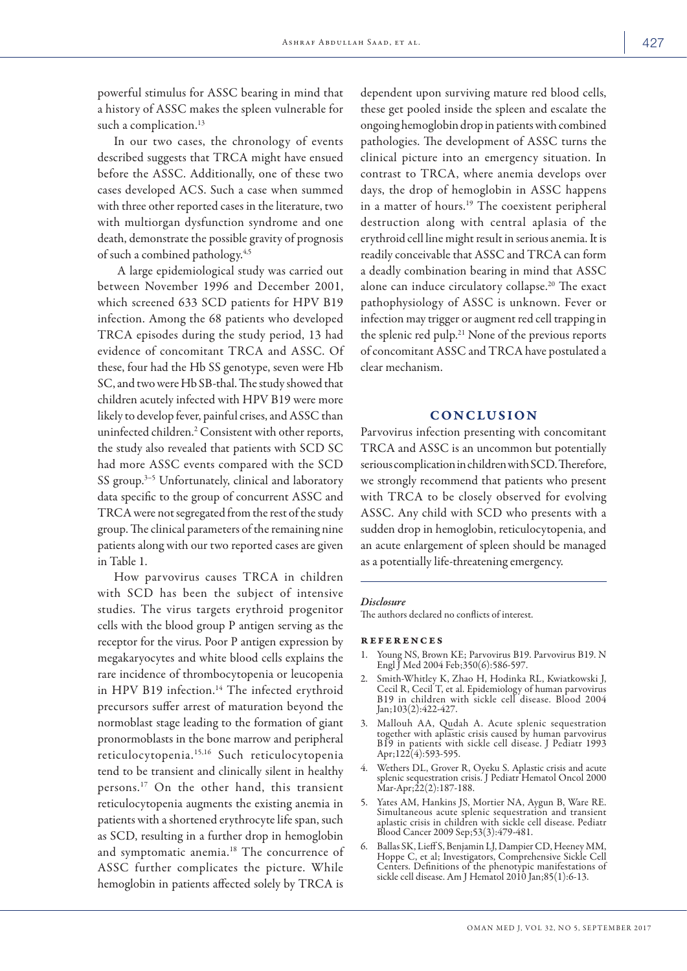powerful stimulus for ASSC bearing in mind that a history of ASSC makes the spleen vulnerable for such a complication.<sup>13</sup>

In our two cases, the chronology of events described suggests that TRCA might have ensued before the ASSC. Additionally, one of these two cases developed ACS. Such a case when summed with three other reported cases in the literature, two with multiorgan dysfunction syndrome and one death, demonstrate the possible gravity of prognosis of such a combined pathology.4,5

 A large epidemiological study was carried out between November 1996 and December 2001, which screened 633 SCD patients for HPV B19 infection. Among the 68 patients who developed TRCA episodes during the study period, 13 had evidence of concomitant TRCA and ASSC. Of these, four had the Hb SS genotype, seven were Hb SC, and two were Hb SB-thal. The study showed that children acutely infected with HPV B19 were more likely to develop fever, painful crises, and ASSC than uninfected children.2 Consistent with other reports, the study also revealed that patients with SCD SC had more ASSC events compared with the SCD SS group.<sup>3-5</sup> Unfortunately, clinical and laboratory data specific to the group of concurrent ASSC and TRCA were not segregated from the rest of the study group. The clinical parameters of the remaining nine patients along with our two reported cases are given in Table 1.

How parvovirus causes TRCA in children with SCD has been the subject of intensive studies. The virus targets erythroid progenitor cells with the blood group P antigen serving as the receptor for the virus. Poor P antigen expression by megakaryocytes and white blood cells explains the rare incidence of thrombocytopenia or leucopenia in HPV B19 infection.<sup>14</sup> The infected erythroid precursors suffer arrest of maturation beyond the normoblast stage leading to the formation of giant pronormoblasts in the bone marrow and peripheral reticulocytopenia.15,16 Such reticulocytopenia tend to be transient and clinically silent in healthy persons.17 On the other hand, this transient reticulocytopenia augments the existing anemia in patients with a shortened erythrocyte life span, such as SCD, resulting in a further drop in hemoglobin and symptomatic anemia.18 The concurrence of ASSC further complicates the picture. While hemoglobin in patients affected solely by TRCA is

dependent upon surviving mature red blood cells, these get pooled inside the spleen and escalate the ongoing hemoglobin drop in patients with combined pathologies. The development of ASSC turns the clinical picture into an emergency situation. In contrast to TRCA, where anemia develops over days, the drop of hemoglobin in ASSC happens in a matter of hours.<sup>19</sup> The coexistent peripheral destruction along with central aplasia of the erythroid cell line might result in serious anemia. It is readily conceivable that ASSC and TRCA can form a deadly combination bearing in mind that ASSC alone can induce circulatory collapse.20 The exact pathophysiology of ASSC is unknown. Fever or infection may trigger or augment red cell trapping in the splenic red pulp.21 None of the previous reports of concomitant ASSC and TRCA have postulated a clear mechanism.

## CONCLUSION

Parvovirus infection presenting with concomitant TRCA and ASSC is an uncommon but potentially serious complication in children with SCD. Therefore, we strongly recommend that patients who present with TRCA to be closely observed for evolving ASSC. Any child with SCD who presents with a sudden drop in hemoglobin, reticulocytopenia, and an acute enlargement of spleen should be managed as a potentially life-threatening emergency.

#### *Disclosure*

The authors declared no conflicts of interest.

### references

- 1. Young NS, Brown KE; Parvovirus B19. Parvovirus B19. N Engl J Med 2004 Feb;350(6):586-597.
- 2. Smith-Whitley K, Zhao H, Hodinka RL, Kwiatkowski J, Cecil R, Cecil T, et al. Epidemiology of human parvovirus B19 in children with sickle cell disease. Blood 2004 Jan;103(2):422-427.
- 3. Mallouh AA, Qudah A. Acute splenic sequestration together with aplastic crisis caused by human parvovirus B19 in patients with sickle cell disease. J Pediatr 1993 Apr;122(4):593-595.
- 4. Wethers DL, Grover R, Oyeku S. Aplastic crisis and acute splenic sequestration crisis. J Pediatr Hematol Oncol 2000 Mar-Apr;22(2):187-188.
- 5. Yates AM, Hankins JS, Mortier NA, Aygun B, Ware RE. Simultaneous acute splenic sequestration and transient aplastic crisis in children with sickle cell disease. Pediatr Blood Cancer 2009 Sep;53(3):479-481.
- 6. Ballas SK, Lieff S, Benjamin LJ, Dampier CD, Heeney MM, Hoppe C, et al; Investigators, Comprehensive Sickle Cell Centers. Definitions of the phenotypic manifestations of sickle cell disease. Am J Hematol 2010 Jan;85(1):6-13.